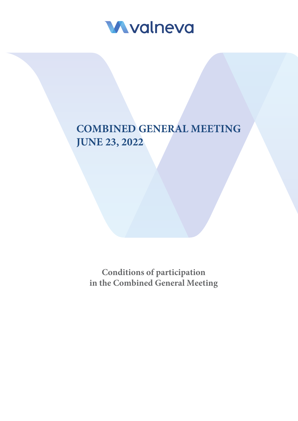

# **COMBINED GENERAL MEETING JUNE 23, 2022**

**Conditions of participation in the Combined General Meeting**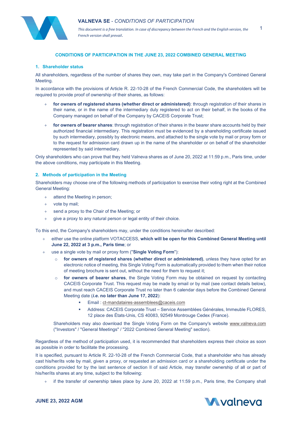

*This document is a free translation. In case of discrepancy between the French and the English version, the French version shall prevail*.

## **CONDITIONS OF PARTICIPATION IN THE JUNE 23, 2022 COMBINED GENERAL MEETING**

#### **1. Shareholder status**

All shareholders, regardless of the number of shares they own, may take part in the Company's Combined General Meeting.

In accordance with the provisions of Article R. 22-10-28 of the French Commercial Code, the shareholders will be required to provide proof of ownership of their shares, as follows:

- + **for owners of registered shares (whether direct or administered)**: through registration of their shares in their name, or in the name of the intermediary duly registered to act on their behalf, in the books of the Company managed on behalf of the Company by CACEIS Corporate Trust;
- + **for owners of bearer shares**: through registration of their shares in the bearer share accounts held by their authorized financial intermediary. This registration must be evidenced by a shareholding certificate issued by such intermediary, possibly by electronic means, and attached to the single vote by mail or proxy form or to the request for admission card drawn up in the name of the shareholder or on behalf of the shareholder represented by said intermediary.

Only shareholders who can prove that they held Valneva shares as of June 20, 2022 at 11:59 p.m., Paris time, under the above conditions, may participate in this Meeting.

### **2. Methods of participation in the Meeting**

Shareholders may choose one of the following methods of participation to exercise their voting right at the Combined General Meeting:

- + attend the Meeting in person;
- + vote by mail;
- + send a proxy to the Chair of the Meeting; or
- give a proxy to any natural person or legal entity of their choice.

To this end, the Company's shareholders may, under the conditions hereinafter described:

- either use the online platform VOTACCESS, which will be open for this Combined General Meeting until **June 22, 2022 at 3 p.m., Paris time**; or
- use a single vote by mail or proxy form ("Single Voting Form"):
	- o **for owners of registered shares (whether direct or administered)**, unless they have opted for an electronic notice of meeting, this Single Voting Form is automatically provided to them when their notice of meeting brochure is sent out, without the need for them to request it;
	- for **owners of bearer shares**, the Single Voting Form may be obtained on request by contacting CACEIS Corporate Trust. This request may be made by email or by mail (see contact details below), and must reach CACEIS Corporate Trust no later than 6 calendar days before the Combined General Meeting date (*i.e***. no later than June 17, 2022**):
		- Email : [ct-mandataires-assemblees@caceis.com](mailto:ct-mandataires-assemblees@caceis.com)
		- Address: CACEIS Corporate Trust Service Assemblées Générales, Immeuble FLORES, 12 place des États-Unis, CS 40083, 92549 Montrouge Cedex (France).

Shareholders may also download the Single Voting Form on the Company's website www.valneva.com ("Investors" / "General Meetings" / "2022 Combined General Meeting" section).

Regardless of the method of participation used, it is recommended that shareholders express their choice as soon as possible in order to facilitate the processing.

It is specified, pursuant to Article R. 22-10-28 of the French Commercial Code, that a shareholder who has already cast his/her/its vote by mail, given a proxy, or requested an admission card or a shareholding certificate under the conditions provided for by the last sentence of section II of said Article, may transfer ownership of all or part of his/her/its shares at any time, subject to the following:

if the transfer of ownership takes place by June 20, 2022 at 11:59 p.m., Paris time, the Company shall



1

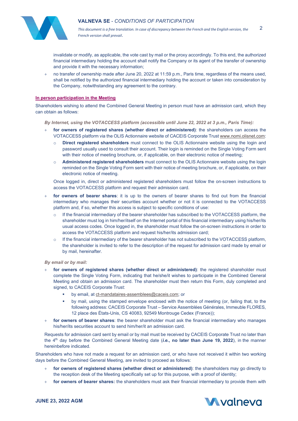

*This document is a free translation. In case of discrepancy between the French and the English version, the French version shall prevail*. 2

invalidate or modify, as applicable, the vote cast by mail or the proxy accordingly. To this end, the authorized financial intermediary holding the account shall notify the Company or its agent of the transfer of ownership and provide it with the necessary information;

no transfer of ownership made after June 20, 2022 at 11:59 p.m., Paris time, regardless of the means used, shall be notified by the authorized financial intermediary holding the account or taken into consideration by the Company, notwithstanding any agreement to the contrary.

### **In person participation in the Meeting**

Shareholders wishing to attend the Combined General Meeting in person must have an admission card, which they can obtain as follows:

*By Internet, using the VOTACCESS platform (accessible until June 22, 2022 at 3 p.m., Paris Time):*

- for owners of registered shares (whether direct or administered): the shareholders can access the VOTACCESS platform via the OLIS Actionnaire website of CACEIS Corporate Trus[t www.nomi.olisnet.com:](http://www.nomi.olisnet.com/)
	- o **Direct registered shareholders** must connect to the OLIS Actionnaire website using the login and password usually used to consult their account. Their login is reminded on the Single Voting Form sent with their notice of meeting brochure, or, if applicable, on their electronic notice of meeting;
	- o **Administered registered shareholders** must connect to the OLIS Actionnaire website using the login reminded on the Single Voting Form sent with their notice of meeting brochure, or, if applicable, on their electronic notice of meeting.

Once logged in, direct or administered registered shareholders must follow the on-screen instructions to access the VOTACCESS platform and request their admission card.

- for **owners of bearer shares**: it is up to the owners of bearer shares to find out from the financial intermediary who manages their securities account whether or not it is connected to the VOTACCESS platform and, if so, whether this access is subject to specific conditions of use:
	- $\circ$  If the financial intermediary of the bearer shareholder has subscribed to the VOTACCESS platform, the shareholder must log in him/her/itself on the Internet portal of this financial intermediary using his/her/its usual access codes. Once logged in, the shareholder must follow the on-screen instructions in order to access the VOTACCESS platform and request his/her/its admission card;
	- $\circ$  If the financial intermediary of the bearer shareholder has not subscribed to the VOTACCESS platform, the shareholder is invited to refer to the description of the request for admission card made by email or by mail, hereinafter.

*By email or by mail:*

- for owners of registered shares (whether direct or administered): the registered shareholder must complete the Single Voting Form, indicating that he/she/it wishes to participate in the Combined General Meeting and obtain an admission card. The shareholder must then return this Form, duly completed and signed, to CACEIS Corporate Trust:
	- by email, a[t ct-mandataires-assemblees@caceis.com;](mailto:ct-mandataires-assemblees@caceis.com) or
	- by mail, using the stamped envelope enclosed with the notice of meeting (or, failing that, to the following address: CACEIS Corporate Trust – Service Assemblées Générales, Immeuble FLORES, 12 place des États-Unis, CS 40083, 92549 Montrouge Cedex (France));
- + **for owners of bearer shares**: the bearer shareholder must ask the financial intermediary who manages his/her/its securities account to send him/her/it an admission card.

Requests for admission card sent by email or by mail must be received by CACEIS Corporate Trust no later than the 4th day before the Combined General Meeting date (*i.e.***, no later than June 19, 2022**), in the manner hereinbefore indicated.

Shareholders who have not made a request for an admission card, or who have not received it within two working days before the Combined General Meeting, are invited to proceed as follows:

- for owners of registered shares (whether direct or administered): the shareholders may go directly to the reception desk of the Meeting specifically set up for this purpose, with a proof of identity;
- for owners of bearer shares: the shareholders must ask their financial intermediary to provide them with

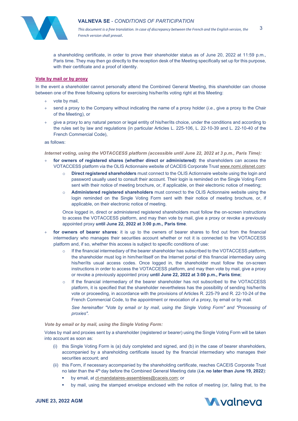

*This document is a free translation. In case of discrepancy between the French and the English version, the French version shall prevail*. 3

a shareholding certificate, in order to prove their shareholder status as of June 20, 2022 at 11:59 p.m., Paris time. They may then go directly to the reception desk of the Meeting specifically set up for this purpose, with their certificate and a proof of identity.

#### **Vote by mail or by proxy**

In the event a shareholder cannot personally attend the Combined General Meeting, this shareholder can choose between one of the three following options for exercising his/her/its voting right at this Meeting:

- vote by mail,
- + send a proxy to the Company without indicating the name of a proxy holder (*i.e.*, give a proxy to the Chair of the Meeting), or
- + give a proxy to any natural person or legal entity of his/her/its choice, under the conditions and according to the rules set by law and regulations (in particular Articles L. 225-106, L. 22-10-39 and L. 22-10-40 of the French Commercial Code),

#### as follows:

*Internet voting, using the VOTACCESS platform (accessible until June 22, 2022 at 3 p.m., Paris Time):*

- + **for owners of registered shares (whether direct or administered)**: the shareholders can access the VOTACCESS platform via the OLIS Actionnaire website of CACEIS Corporate Trus[t www.nomi.olisnet.com:](http://www.nomi.olisnet.com/)
	- o **Direct registered shareholders** must connect to the OLIS Actionnaire website using the login and password usually used to consult their account. Their login is reminded on the Single Voting Form sent with their notice of meeting brochure, or, if applicable, on their electronic notice of meeting;
	- o **Administered registered shareholders** must connect to the OLIS Actionnaire website using the login reminded on the Single Voting Form sent with their notice of meeting brochure, or, if applicable, on their electronic notice of meeting.

Once logged in, direct or administered registered shareholders must follow the on-screen instructions to access the VOTACCESS platform, and may then vote by mail, give a proxy or revoke a previously appointed proxy **until June 22, 2022 at 3:00 p.m., Paris time**.

- + **for owners of bearer shares**: it is up to the owners of bearer shares to find out from the financial intermediary who manages their securities account whether or not it is connected to the VOTACCESS platform and, if so, whether this access is subject to specific conditions of use:
	- If the financial intermediary of the bearer shareholder has subscribed to the VOTACCESS platform, the shareholder must log in him/her/itself on the Internet portal of this financial intermediary using his/her/its usual access codes. Once logged in, the shareholder must follow the on-screen instructions in order to access the VOTACCESS platform, and may then vote by mail, give a proxy or revoke a previously appointed proxy **until June 22, 2022 at 3:00 p.m., Paris time**;
	- o If the financial intermediary of the bearer shareholder has not subscribed to the VOTACCESS platform, it is specified that the shareholder nevertheless has the possibility of sending his/her/its vote or proceeding, in accordance with the provisions of Articles R. 225-79 and R. 22-10-24 of the French Commercial Code, to the appointment or revocation of a proxy, by email or by mail.

*See hereinafter "Vote by email or by mail, using the Single Voting Form" and "Processing of proxies".*

*Vote by email or by mail, using the Single Voting Form:*

Votes by mail and proxies sent by a shareholder (registered or bearer) using the Single Voting Form will be taken into account as soon as:

- (i) this Single Voting Form is (a) duly completed and signed, and (b) in the case of bearer shareholders, accompanied by a shareholding certificate issued by the financial intermediary who manages their securities account: and
- (ii) this Form, if necessary accompanied by the shareholding certificate, reaches CACEIS Corporate Trust no later than the 4th day before the Combined General Meeting date (*i.e.* **no later than June 19, 2022**):
	- by email, at [ct-mandataires-assemblees@caceis.com;](mailto:ct-mandataires-assemblees@caceis.com) or
	- by mail, using the stamped envelope enclosed with the notice of meeting (or, failing that, to the

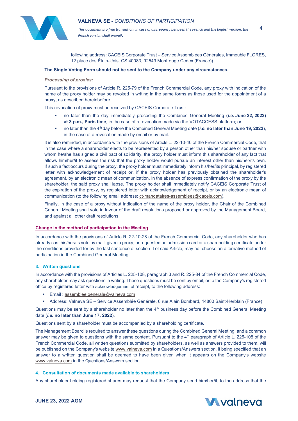

*This document is a free translation. In case of discrepancy between the French and the English version, the French version shall prevail*. 4

following address: CACEIS Corporate Trust – Service Assemblées Générales, Immeuble FLORES, 12 place des États-Unis, CS 40083, 92549 Montrouge Cedex (France)).

## **The Single Voting Form should not be sent to the Company under any circumstances.**

#### *Processing of proxies:*

Pursuant to the provisions of Article R. 225-79 of the French Commercial Code, any proxy with indication of the name of the proxy holder may be revoked in writing in the same forms as those used for the appointment of a proxy, as described hereinbefore.

This revocation of proxy must be received by CACEIS Corporate Trust:

- no later than the day immediately preceding the Combined General Meeting **(***i.e.* **June 22, 2022) at 3 p.m., Paris time**, in the case of a revocation made via the VOTACCESS platform; or
- no later than the 4th day before the Combined General Meeting date (*i.e.* **no later than June 19, 2022**), in the case of a revocation made by email or by mail.

It is also reminded, in accordance with the provisions of Article L. 22-10-40 of the French Commercial Code, that in the case where a shareholder elects to be represented by a person other than his/her spouse or partner with whom he/she has signed a civil pact of solidarity, the proxy holder must inform this shareholder of any fact that allows him/her/it to assess the risk that the proxy holder would pursue an interest other than his/her/its own. If such a fact occurs during the proxy, the proxy holder must immediately inform his/her/its principal, by registered letter with acknowledgement of receipt or, if the proxy holder has previously obtained the shareholder's agreement, by an electronic mean of communication. In the absence of express confirmation of the proxy by the shareholder, the said proxy shall lapse. The proxy holder shall immediately notify CACEIS Corporate Trust of the expiration of the proxy, by registered letter with acknowledgement of receipt, or by an electronic mean of communication (to the following email address: [ct-mandataires-assemblees@caceis.com\)](mailto:ct-mandataires-assemblees@caceis.com).

Finally, in the case of a proxy without indication of the name of the proxy holder, the Chair of the Combined General Meeting shall vote in favour of the draft resolutions proposed or approved by the Management Board, and against all other draft resolutions.

#### **Change in the method of participation in the Meeting**

In accordance with the provisions of Article R. 22-10-28 of the French Commercial Code, any shareholder who has already cast his/her/its vote by mail, given a proxy, or requested an admission card or a shareholding certificate under the conditions provided for by the last sentence of section II of said Article, may not choose an alternative method of participation in the Combined General Meeting.

## **3. Written questions**

In accordance with the provisions of Articles L. 225-108, paragraph 3 and R. 225-84 of the French Commercial Code, any shareholder may ask questions in writing. These questions must be sent by email, or to the Company's registered office by registered letter with acknowledgement of receipt, to the following address:

- Email : [assemblee.generale@valneva.com](mailto:assemblee.generale@valneva.com)
- Address: Valneva SE Service Assemblée Générale, 6 rue Alain Bombard, 44800 Saint-Herblain (France)

Questions may be sent by a shareholder no later than the  $4<sup>th</sup>$  business day before the Combined General Meeting date (*i.e***. no later than June 17, 2022**).

Questions sent by a shareholder must be accompanied by a shareholding certificate.

The Management Board is required to answer these questions during the Combined General Meeting, and a common answer may be given to questions with the same content. Pursuant to the 4<sup>th</sup> paragraph of Article L. 225-108 of the French Commercial Code, all written questions submitted by shareholders, as well as answers provided to them, will be published on the Company's website [www.valneva.com](http://www.valneva.com/) in a Questions/Answers section, it being specified that an answer to a written question shall be deemed to have been given when it appears on the Company's website [www.valneva.com](http://www.valneva.com/) in the Questions/Answers section.

## **4. Consultation of documents made available to shareholders**

Any shareholder holding registered shares may request that the Company send him/her/it, to the address that the